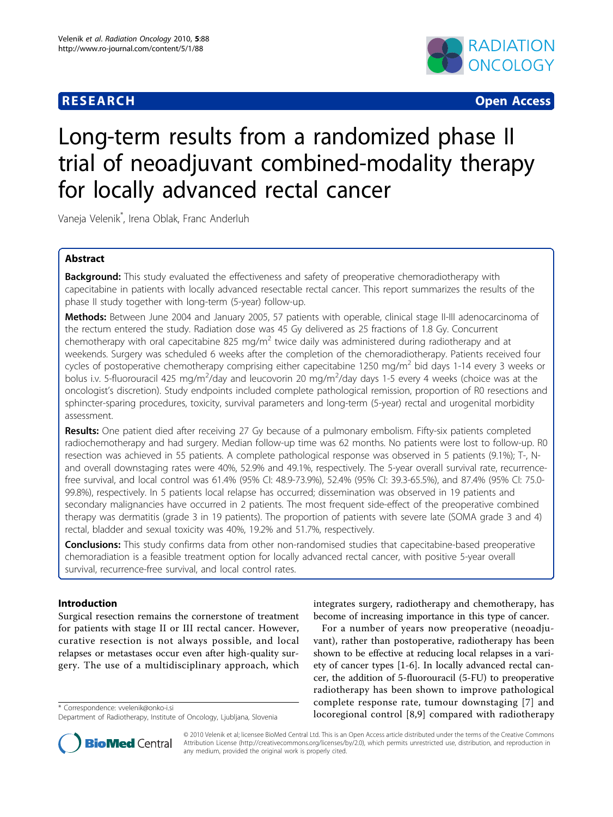# **RESEARCH CONSTRUCTED AND RESEARCH CONSTRUCTED AND RESEARCH**



# Long-term results from a randomized phase II trial of neoadjuvant combined-modality therapy for locally advanced rectal cancer

Vaneja Velenik\* , Irena Oblak, Franc Anderluh

# Abstract

**Background:** This study evaluated the effectiveness and safety of preoperative chemoradiotherapy with capecitabine in patients with locally advanced resectable rectal cancer. This report summarizes the results of the phase II study together with long-term (5-year) follow-up.

Methods: Between June 2004 and January 2005, 57 patients with operable, clinical stage II-III adenocarcinoma of the rectum entered the study. Radiation dose was 45 Gy delivered as 25 fractions of 1.8 Gy. Concurrent chemotherapy with oral capecitabine 825 mg/m<sup>2</sup> twice daily was administered during radiotherapy and at weekends. Surgery was scheduled 6 weeks after the completion of the chemoradiotherapy. Patients received four cycles of postoperative chemotherapy comprising either capecitabine 1250 mg/m<sup>2</sup> bid days 1-14 every 3 weeks or bolus i.v. 5-fluorouracil 425 mg/m<sup>2</sup>/day and leucovorin 20 mg/m<sup>2</sup>/day days 1-5 every 4 weeks (choice was at the oncologist's discretion). Study endpoints included complete pathological remission, proportion of R0 resections and sphincter-sparing procedures, toxicity, survival parameters and long-term (5-year) rectal and urogenital morbidity assessment.

Results: One patient died after receiving 27 Gy because of a pulmonary embolism. Fifty-six patients completed radiochemotherapy and had surgery. Median follow-up time was 62 months. No patients were lost to follow-up. R0 resection was achieved in 55 patients. A complete pathological response was observed in 5 patients (9.1%); T-, Nand overall downstaging rates were 40%, 52.9% and 49.1%, respectively. The 5-year overall survival rate, recurrencefree survival, and local control was 61.4% (95% CI: 48.9-73.9%), 52.4% (95% CI: 39.3-65.5%), and 87.4% (95% CI: 75.0- 99.8%), respectively. In 5 patients local relapse has occurred; dissemination was observed in 19 patients and secondary malignancies have occurred in 2 patients. The most frequent side-effect of the preoperative combined therapy was dermatitis (grade 3 in 19 patients). The proportion of patients with severe late (SOMA grade 3 and 4) rectal, bladder and sexual toxicity was 40%, 19.2% and 51.7%, respectively.

Conclusions: This study confirms data from other non-randomised studies that capecitabine-based preoperative chemoradiation is a feasible treatment option for locally advanced rectal cancer, with positive 5-year overall survival, recurrence-free survival, and local control rates.

# Introduction

Surgical resection remains the cornerstone of treatment for patients with stage II or III rectal cancer. However, curative resection is not always possible, and local relapses or metastases occur even after high-quality surgery. The use of a multidisciplinary approach, which



For a number of years now preoperative (neoadjuvant), rather than postoperative, radiotherapy has been shown to be effective at reducing local relapses in a variety of cancer types [\[1](#page-6-0)-[6\]](#page-6-0). In locally advanced rectal cancer, the addition of 5-fluorouracil (5-FU) to preoperative radiotherapy has been shown to improve pathological complete response rate, tumour downstaging [[7\]](#page-6-0) and locoregional control [[8,9\]](#page-6-0) compared with radiotherapy \* Correspondence: [vvelenik@onko-i.si](mailto:vvelenik@onko-i.si)



© 2010 Velenik et al; licensee BioMed Central Ltd. This is an Open Access article distributed under the terms of the Creative Commons Attribution License [\(http://creativecommons.org/licenses/by/2.0](http://creativecommons.org/licenses/by/2.0)), which permits unrestricted use, distribution, and reproduction in any medium, provided the original work is properly cited.

Department of Radiotherapy, Institute of Oncology, Ljubljana, Slovenia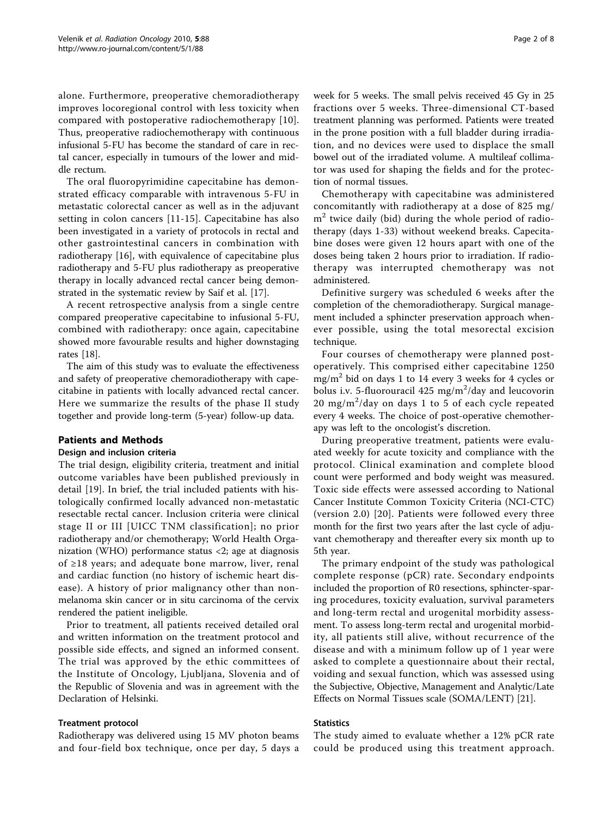alone. Furthermore, preoperative chemoradiotherapy improves locoregional control with less toxicity when compared with postoperative radiochemotherapy [[10](#page-6-0)]. Thus, preoperative radiochemotherapy with continuous infusional 5-FU has become the standard of care in rectal cancer, especially in tumours of the lower and middle rectum.

The oral fluoropyrimidine capecitabine has demonstrated efficacy comparable with intravenous 5-FU in metastatic colorectal cancer as well as in the adjuvant setting in colon cancers [[11-15\]](#page-6-0). Capecitabine has also been investigated in a variety of protocols in rectal and other gastrointestinal cancers in combination with radiotherapy [[16\]](#page-7-0), with equivalence of capecitabine plus radiotherapy and 5-FU plus radiotherapy as preoperative therapy in locally advanced rectal cancer being demonstrated in the systematic review by Saif et al. [[17](#page-7-0)].

A recent retrospective analysis from a single centre compared preoperative capecitabine to infusional 5-FU, combined with radiotherapy: once again, capecitabine showed more favourable results and higher downstaging rates [\[18](#page-7-0)].

The aim of this study was to evaluate the effectiveness and safety of preoperative chemoradiotherapy with capecitabine in patients with locally advanced rectal cancer. Here we summarize the results of the phase II study together and provide long-term (5-year) follow-up data.

# Patients and Methods

#### Design and inclusion criteria

The trial design, eligibility criteria, treatment and initial outcome variables have been published previously in detail [[19](#page-7-0)]. In brief, the trial included patients with histologically confirmed locally advanced non-metastatic resectable rectal cancer. Inclusion criteria were clinical stage II or III [UICC TNM classification]; no prior radiotherapy and/or chemotherapy; World Health Organization (WHO) performance status <2; age at diagnosis of ≥18 years; and adequate bone marrow, liver, renal and cardiac function (no history of ischemic heart disease). A history of prior malignancy other than nonmelanoma skin cancer or in situ carcinoma of the cervix rendered the patient ineligible.

Prior to treatment, all patients received detailed oral and written information on the treatment protocol and possible side effects, and signed an informed consent. The trial was approved by the ethic committees of the Institute of Oncology, Ljubljana, Slovenia and of the Republic of Slovenia and was in agreement with the Declaration of Helsinki.

#### Treatment protocol

Radiotherapy was delivered using 15 MV photon beams and four-field box technique, once per day, 5 days a

week for 5 weeks. The small pelvis received 45 Gy in 25 fractions over 5 weeks. Three-dimensional CT-based treatment planning was performed. Patients were treated in the prone position with a full bladder during irradiation, and no devices were used to displace the small bowel out of the irradiated volume. A multileaf collimator was used for shaping the fields and for the protection of normal tissues.

Chemotherapy with capecitabine was administered concomitantly with radiotherapy at a dose of 825 mg/  $m<sup>2</sup>$  twice daily (bid) during the whole period of radiotherapy (days 1-33) without weekend breaks. Capecitabine doses were given 12 hours apart with one of the doses being taken 2 hours prior to irradiation. If radiotherapy was interrupted chemotherapy was not administered.

Definitive surgery was scheduled 6 weeks after the completion of the chemoradiotherapy. Surgical management included a sphincter preservation approach whenever possible, using the total mesorectal excision technique.

Four courses of chemotherapy were planned postoperatively. This comprised either capecitabine 1250 mg/m<sup>2</sup> bid on days 1 to 14 every 3 weeks for 4 cycles or bolus i.v. 5-fluorouracil  $425 \text{ mg/m}^2/\text{day}$  and leucovorin 20 mg/m<sup>2</sup>/day on days 1 to 5 of each cycle repeated every 4 weeks. The choice of post-operative chemotherapy was left to the oncologist's discretion.

During preoperative treatment, patients were evaluated weekly for acute toxicity and compliance with the protocol. Clinical examination and complete blood count were performed and body weight was measured. Toxic side effects were assessed according to National Cancer Institute Common Toxicity Criteria (NCI-CTC) (version 2.0) [[20](#page-7-0)]. Patients were followed every three month for the first two years after the last cycle of adjuvant chemotherapy and thereafter every six month up to 5th year.

The primary endpoint of the study was pathological complete response (pCR) rate. Secondary endpoints included the proportion of R0 resections, sphincter-sparing procedures, toxicity evaluation, survival parameters and long-term rectal and urogenital morbidity assessment. To assess long-term rectal and urogenital morbidity, all patients still alive, without recurrence of the disease and with a minimum follow up of 1 year were asked to complete a questionnaire about their rectal, voiding and sexual function, which was assessed using the Subjective, Objective, Management and Analytic/Late Effects on Normal Tissues scale (SOMA/LENT) [[21](#page-7-0)].

#### **Statistics**

The study aimed to evaluate whether a 12% pCR rate could be produced using this treatment approach.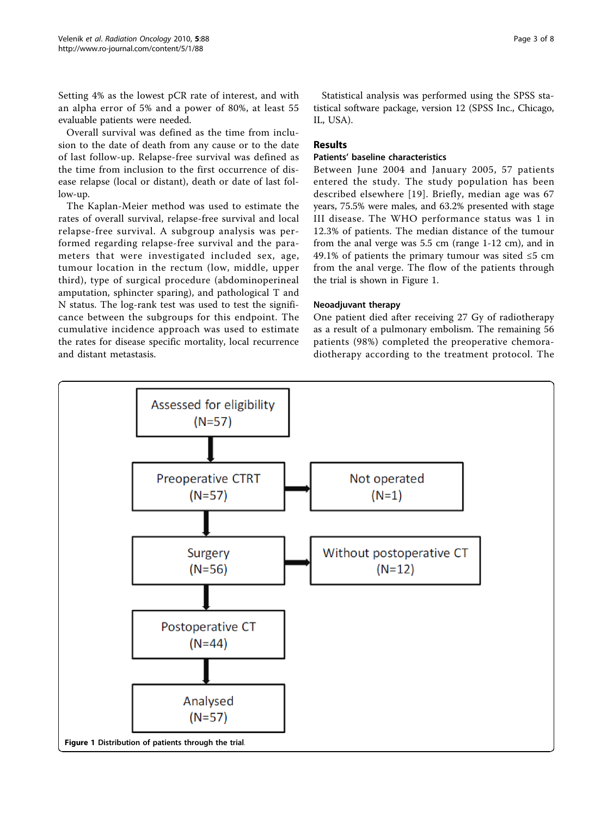Setting 4% as the lowest pCR rate of interest, and with an alpha error of 5% and a power of 80%, at least 55 evaluable patients were needed.

Overall survival was defined as the time from inclusion to the date of death from any cause or to the date of last follow-up. Relapse-free survival was defined as the time from inclusion to the first occurrence of disease relapse (local or distant), death or date of last follow-up.

The Kaplan-Meier method was used to estimate the rates of overall survival, relapse-free survival and local relapse-free survival. A subgroup analysis was performed regarding relapse-free survival and the parameters that were investigated included sex, age, tumour location in the rectum (low, middle, upper third), type of surgical procedure (abdominoperineal amputation, sphincter sparing), and pathological T and N status. The log-rank test was used to test the significance between the subgroups for this endpoint. The cumulative incidence approach was used to estimate the rates for disease specific mortality, local recurrence and distant metastasis.

Statistical analysis was performed using the SPSS statistical software package, version 12 (SPSS Inc., Chicago, IL, USA).

# Results

#### Patients' baseline characteristics

Between June 2004 and January 2005, 57 patients entered the study. The study population has been described elsewhere [[19\]](#page-7-0). Briefly, median age was 67 years, 75.5% were males, and 63.2% presented with stage III disease. The WHO performance status was 1 in 12.3% of patients. The median distance of the tumour from the anal verge was 5.5 cm (range 1-12 cm), and in 49.1% of patients the primary tumour was sited  $\leq 5$  cm from the anal verge. The flow of the patients through the trial is shown in Figure 1.

#### Neoadjuvant therapy

One patient died after receiving 27 Gy of radiotherapy as a result of a pulmonary embolism. The remaining 56 patients (98%) completed the preoperative chemoradiotherapy according to the treatment protocol. The

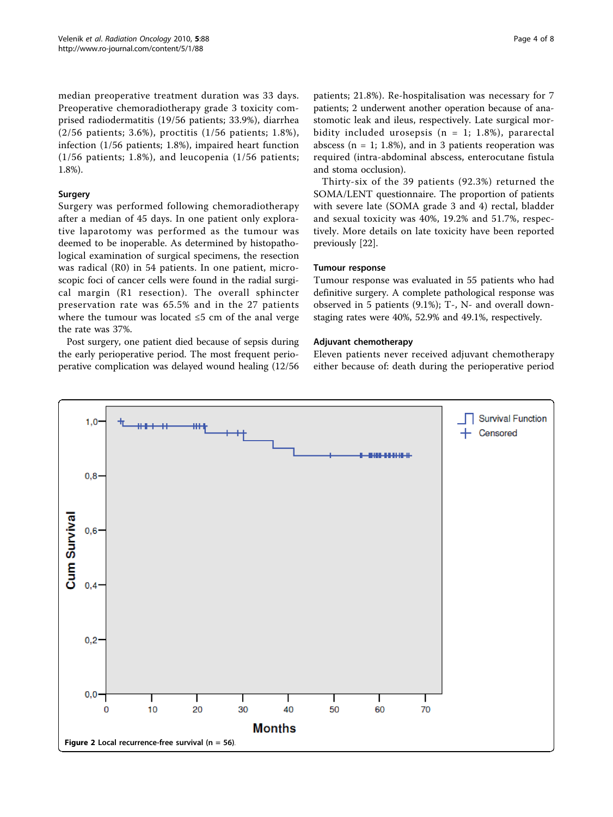<span id="page-3-0"></span>median preoperative treatment duration was 33 days. Preoperative chemoradiotherapy grade 3 toxicity comprised radiodermatitis (19/56 patients; 33.9%), diarrhea (2/56 patients; 3.6%), proctitis (1/56 patients; 1.8%), infection (1/56 patients; 1.8%), impaired heart function (1/56 patients; 1.8%), and leucopenia (1/56 patients; 1.8%).

#### Surgery

Surgery was performed following chemoradiotherapy after a median of 45 days. In one patient only explorative laparotomy was performed as the tumour was deemed to be inoperable. As determined by histopathological examination of surgical specimens, the resection was radical (R0) in 54 patients. In one patient, microscopic foci of cancer cells were found in the radial surgical margin (R1 resection). The overall sphincter preservation rate was 65.5% and in the 27 patients where the tumour was located ≤5 cm of the anal verge the rate was 37%.

Post surgery, one patient died because of sepsis during the early perioperative period. The most frequent perioperative complication was delayed wound healing (12/56 patients; 21.8%). Re-hospitalisation was necessary for 7 patients; 2 underwent another operation because of anastomotic leak and ileus, respectively. Late surgical morbidity included urosepsis ( $n = 1$ ; 1.8%), pararectal abscess ( $n = 1$ ; 1.8%), and in 3 patients reoperation was required (intra-abdominal abscess, enterocutane fistula and stoma occlusion).

Thirty-six of the 39 patients (92.3%) returned the SOMA/LENT questionnaire. The proportion of patients with severe late (SOMA grade 3 and 4) rectal, bladder and sexual toxicity was 40%, 19.2% and 51.7%, respectively. More details on late toxicity have been reported previously [\[22](#page-7-0)].

#### Tumour response

Tumour response was evaluated in 55 patients who had definitive surgery. A complete pathological response was observed in 5 patients (9.1%); T-, N- and overall downstaging rates were 40%, 52.9% and 49.1%, respectively.

#### Adjuvant chemotherapy

Eleven patients never received adjuvant chemotherapy either because of: death during the perioperative period

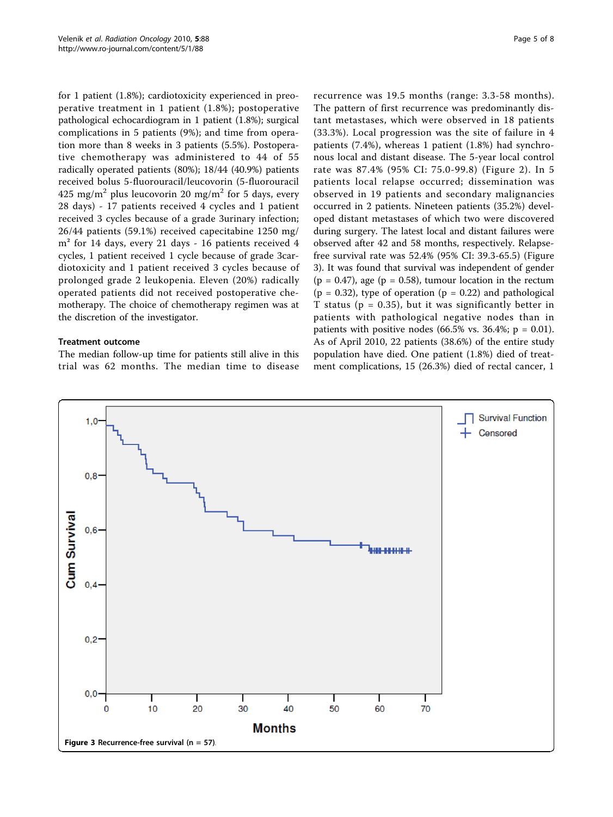for 1 patient (1.8%); cardiotoxicity experienced in preoperative treatment in 1 patient (1.8%); postoperative pathological echocardiogram in 1 patient (1.8%); surgical complications in 5 patients (9%); and time from operation more than 8 weeks in 3 patients (5.5%). Postoperative chemotherapy was administered to 44 of 55 radically operated patients (80%); 18/44 (40.9%) patients received bolus 5-fluorouracil/leucovorin (5-fluorouracil 425 mg/m<sup>2</sup> plus leucovorin 20 mg/m<sup>2</sup> for 5 days, every 28 days) - 17 patients received 4 cycles and 1 patient received 3 cycles because of a grade 3urinary infection; 26/44 patients (59.1%) received capecitabine 1250 mg/ m² for 14 days, every 21 days - 16 patients received 4 cycles, 1 patient received 1 cycle because of grade 3cardiotoxicity and 1 patient received 3 cycles because of prolonged grade 2 leukopenia. Eleven (20%) radically operated patients did not received postoperative chemotherapy. The choice of chemotherapy regimen was at the discretion of the investigator.

# Treatment outcome

The median follow-up time for patients still alive in this trial was 62 months. The median time to disease recurrence was 19.5 months (range: 3.3-58 months). The pattern of first recurrence was predominantly distant metastases, which were observed in 18 patients (33.3%). Local progression was the site of failure in 4 patients (7.4%), whereas 1 patient (1.8%) had synchronous local and distant disease. The 5-year local control rate was 87.4% (95% CI: 75.0-99.8) (Figure [2\)](#page-3-0). In 5 patients local relapse occurred; dissemination was observed in 19 patients and secondary malignancies occurred in 2 patients. Nineteen patients (35.2%) developed distant metastases of which two were discovered during surgery. The latest local and distant failures were observed after 42 and 58 months, respectively. Relapsefree survival rate was 52.4% (95% CI: 39.3-65.5) (Figure 3). It was found that survival was independent of gender  $(p = 0.47)$ , age  $(p = 0.58)$ , tumour location in the rectum  $(p = 0.32)$ , type of operation  $(p = 0.22)$  and pathological T status ( $p = 0.35$ ), but it was significantly better in patients with pathological negative nodes than in patients with positive nodes  $(66.5\% \text{ vs. } 36.4\%; \text{ p} = 0.01).$ As of April 2010, 22 patients (38.6%) of the entire study population have died. One patient (1.8%) died of treatment complications, 15 (26.3%) died of rectal cancer, 1

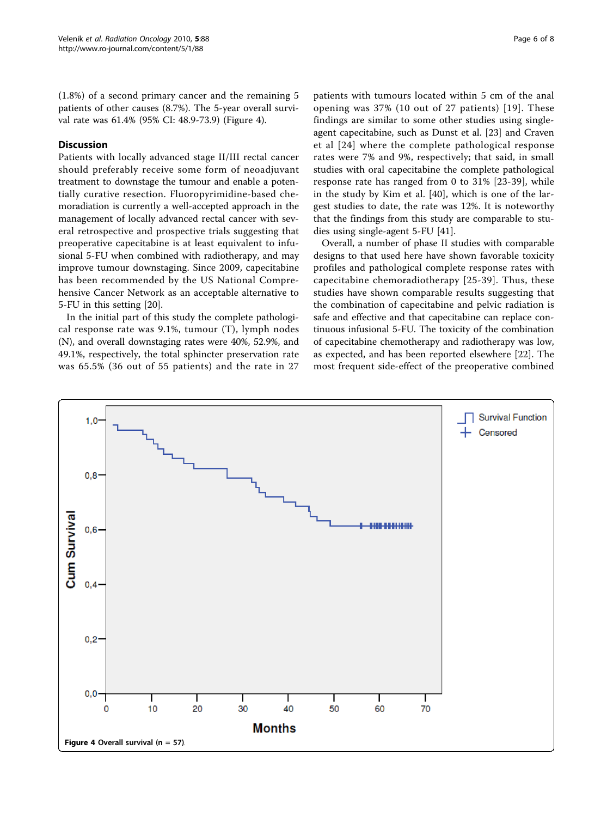(1.8%) of a second primary cancer and the remaining 5 patients of other causes (8.7%). The 5-year overall survival rate was 61.4% (95% CI: 48.9-73.9) (Figure 4).

# **Discussion**

Patients with locally advanced stage II/III rectal cancer should preferably receive some form of neoadjuvant treatment to downstage the tumour and enable a potentially curative resection. Fluoropyrimidine-based chemoradiation is currently a well-accepted approach in the management of locally advanced rectal cancer with several retrospective and prospective trials suggesting that preoperative capecitabine is at least equivalent to infusional 5-FU when combined with radiotherapy, and may improve tumour downstaging. Since 2009, capecitabine has been recommended by the US National Comprehensive Cancer Network as an acceptable alternative to 5-FU in this setting [\[20\]](#page-7-0).

In the initial part of this study the complete pathological response rate was 9.1%, tumour (T), lymph nodes (N), and overall downstaging rates were 40%, 52.9%, and 49.1%, respectively, the total sphincter preservation rate was 65.5% (36 out of 55 patients) and the rate in 27 patients with tumours located within 5 cm of the anal opening was 37% (10 out of 27 patients) [[19](#page-7-0)]. These findings are similar to some other studies using singleagent capecitabine, such as Dunst et al. [[23\]](#page-7-0) and Craven et al [[24](#page-7-0)] where the complete pathological response rates were 7% and 9%, respectively; that said, in small studies with oral capecitabine the complete pathological response rate has ranged from 0 to 31% [[23](#page-7-0)-[39](#page-7-0)], while in the study by Kim et al. [[40](#page-7-0)], which is one of the largest studies to date, the rate was 12%. It is noteworthy that the findings from this study are comparable to studies using single-agent 5-FU [[41\]](#page-7-0).

Overall, a number of phase II studies with comparable designs to that used here have shown favorable toxicity profiles and pathological complete response rates with capecitabine chemoradiotherapy [[25](#page-7-0)-[39](#page-7-0)]. Thus, these studies have shown comparable results suggesting that the combination of capecitabine and pelvic radiation is safe and effective and that capecitabine can replace continuous infusional 5-FU. The toxicity of the combination of capecitabine chemotherapy and radiotherapy was low, as expected, and has been reported elsewhere [\[22](#page-7-0)]. The most frequent side-effect of the preoperative combined

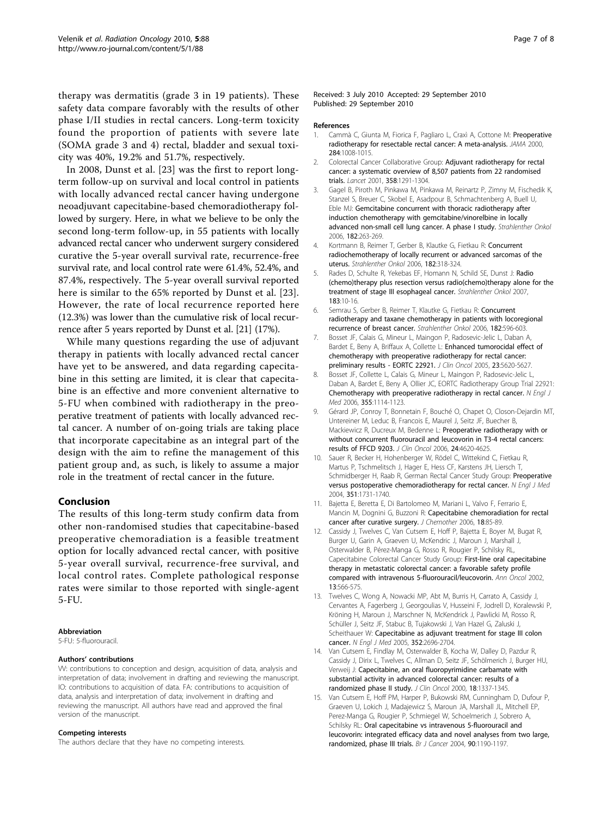<span id="page-6-0"></span>therapy was dermatitis (grade 3 in 19 patients). These safety data compare favorably with the results of other phase I/II studies in rectal cancers. Long-term toxicity found the proportion of patients with severe late (SOMA grade 3 and 4) rectal, bladder and sexual toxicity was 40%, 19.2% and 51.7%, respectively.

In 2008, Dunst et al. [\[23](#page-7-0)] was the first to report longterm follow-up on survival and local control in patients with locally advanced rectal cancer having undergone neoadjuvant capecitabine-based chemoradiotherapy followed by surgery. Here, in what we believe to be only the second long-term follow-up, in 55 patients with locally advanced rectal cancer who underwent surgery considered curative the 5-year overall survival rate, recurrence-free survival rate, and local control rate were 61.4%, 52.4%, and 87.4%, respectively. The 5-year overall survival reported here is similar to the 65% reported by Dunst et al. [[23](#page-7-0)]. However, the rate of local recurrence reported here (12.3%) was lower than the cumulative risk of local recurrence after 5 years reported by Dunst et al. [\[21\]](#page-7-0) (17%).

While many questions regarding the use of adjuvant therapy in patients with locally advanced rectal cancer have yet to be answered, and data regarding capecitabine in this setting are limited, it is clear that capecitabine is an effective and more convenient alternative to 5-FU when combined with radiotherapy in the preoperative treatment of patients with locally advanced rectal cancer. A number of on-going trials are taking place that incorporate capecitabine as an integral part of the design with the aim to refine the management of this patient group and, as such, is likely to assume a major role in the treatment of rectal cancer in the future.

# Conclusion

The results of this long-term study confirm data from other non-randomised studies that capecitabine-based preoperative chemoradiation is a feasible treatment option for locally advanced rectal cancer, with positive 5-year overall survival, recurrence-free survival, and local control rates. Complete pathological response rates were similar to those reported with single-agent 5-FU.

#### Abbreviation

5-FU: 5-fluorouracil.

#### Authors' contributions

VV: contributions to conception and design, acquisition of data, analysis and interpretation of data; involvement in drafting and reviewing the manuscript. IO: contributions to acquisition of data. FA: contributions to acquisition of data, analysis and interpretation of data; involvement in drafting and reviewing the manuscript. All authors have read and approved the final version of the manuscript.

#### Competing interests

The authors declare that they have no competing interests.

#### Received: 3 July 2010 Accepted: 29 September 2010 Published: 29 September 2010

#### References

- 1. Cammà C, Giunta M, Fiorica F, Pagliaro L, Craxì A, Cottone M: [Preoperative](http://www.ncbi.nlm.nih.gov/pubmed/10944647?dopt=Abstract) [radiotherapy for resectable rectal cancer: A meta-analysis.](http://www.ncbi.nlm.nih.gov/pubmed/10944647?dopt=Abstract) JAMA 2000, 284:1008-1015.
- 2. Colorectal Cancer Collaborative Group: [Adjuvant radiotherapy for rectal](http://www.ncbi.nlm.nih.gov/pubmed/11684209?dopt=Abstract) [cancer: a systematic overview of 8,507 patients from 22 randomised](http://www.ncbi.nlm.nih.gov/pubmed/11684209?dopt=Abstract) [trials.](http://www.ncbi.nlm.nih.gov/pubmed/11684209?dopt=Abstract) Lancet 2001, 358:1291-1304.
- Gagel B, Piroth M, Pinkawa M, Pinkawa M, Reinartz P, Zimny M, Fischedik K, Stanzel S, Breuer C, Skobel E, Asadpour B, Schmachtenberg A, Buell U, Eble MJ: [Gemcitabine concurrent with thoracic radiotherapy after](http://www.ncbi.nlm.nih.gov/pubmed/16673059?dopt=Abstract) [induction chemotherapy with gemcitabine/vinorelbine in locally](http://www.ncbi.nlm.nih.gov/pubmed/16673059?dopt=Abstract) [advanced non-small cell lung cancer. A phase I study.](http://www.ncbi.nlm.nih.gov/pubmed/16673059?dopt=Abstract) Strahlenther Onkol 2006, 182:263-269.
- 4. Kortmann B, Reimer T, Gerber B, Klautke G, Fietkau R: [Concurrent](http://www.ncbi.nlm.nih.gov/pubmed/16703286?dopt=Abstract) [radiochemotherapy of locally recurrent or advanced sarcomas of the](http://www.ncbi.nlm.nih.gov/pubmed/16703286?dopt=Abstract) [uterus.](http://www.ncbi.nlm.nih.gov/pubmed/16703286?dopt=Abstract) Strahlenther Onkol 2006, 182:318-324.
- 5. Rades D, Schulte R, Yekebas EF, Homann N, Schild SE, Dunst J: [Radio](http://www.ncbi.nlm.nih.gov/pubmed/17225940?dopt=Abstract) [\(chemo\)therapy plus resection versus radio\(chemo\)therapy alone for the](http://www.ncbi.nlm.nih.gov/pubmed/17225940?dopt=Abstract) [treatment of stage III esophageal cancer.](http://www.ncbi.nlm.nih.gov/pubmed/17225940?dopt=Abstract) Strahlenther Onkol 2007, 183:10-16.
- 6. Semrau S, Gerber B, Reimer T, Klautke G, Fietkau R: [Concurrent](http://www.ncbi.nlm.nih.gov/pubmed/17013573?dopt=Abstract) [radiotherapy and taxane chemotherapy in patients with locoregional](http://www.ncbi.nlm.nih.gov/pubmed/17013573?dopt=Abstract) [recurrence of breast cancer.](http://www.ncbi.nlm.nih.gov/pubmed/17013573?dopt=Abstract) Strahlenther Onkol 2006, 182:596-603.
- 7. Bosset JF, Calais G, Mineur L, Maingon P, Radosevic-Jelic L, Daban A, Bardet E, Beny A, Briffaux A, Collette L: [Enhanced tumorocidal effect of](http://www.ncbi.nlm.nih.gov/pubmed/16009958?dopt=Abstract) [chemotherapy with preoperative radiotherapy for rectal cancer:](http://www.ncbi.nlm.nih.gov/pubmed/16009958?dopt=Abstract) [preliminary results - EORTC 22921.](http://www.ncbi.nlm.nih.gov/pubmed/16009958?dopt=Abstract) J Clin Oncol 2005, 23:5620-5627.
- 8. Bosset JF, Collette L, Calais G, Mineur L, Maingon P, Radosevic-Jelic L, Daban A, Bardet E, Beny A, Ollier JC, EORTC Radiotherapy Group Trial 22921: [Chemotherapy with preoperative radiotherapy in rectal cancer.](http://www.ncbi.nlm.nih.gov/pubmed/16971718?dopt=Abstract) N Engl J Med 2006, 355:1114-1123.
- 9. Gérard JP, Conroy T, Bonnetain F, Bouché O, Chapet O, Closon-Dejardin MT, Untereiner M, Leduc B, Francois E, Maurel J, Seitz JF, Buecher B, Mackiewicz R, Ducreux M, Bedenne L: [Preoperative radiotherapy with or](http://www.ncbi.nlm.nih.gov/pubmed/17008704?dopt=Abstract) [without concurrent fluorouracil and leucovorin in T3-4 rectal cancers:](http://www.ncbi.nlm.nih.gov/pubmed/17008704?dopt=Abstract) [results of FFCD 9203.](http://www.ncbi.nlm.nih.gov/pubmed/17008704?dopt=Abstract) J Clin Oncol 2006, 24:4620-4625.
- 10. Sauer R, Becker H, Hohenberger W, Rödel C, Wittekind C, Fietkau R, Martus P, Tschmelitsch J, Hager E, Hess CF, Karstens JH, Liersch T, Schmidberger H, Raab R, German Rectal Cancer Study Group: [Preoperative](http://www.ncbi.nlm.nih.gov/pubmed/15496622?dopt=Abstract) [versus postoperative chemoradiotherapy for rectal cancer.](http://www.ncbi.nlm.nih.gov/pubmed/15496622?dopt=Abstract) N Engl J Med 2004, 351:1731-1740.
- 11. Bajetta E, Beretta E, Di Bartolomeo M, Mariani L, Valvo F, Ferrario E, Mancin M, Dognini G, Buzzoni R: [Capecitabine chemoradiation for rectal](http://www.ncbi.nlm.nih.gov/pubmed/16572898?dopt=Abstract) [cancer after curative surgery.](http://www.ncbi.nlm.nih.gov/pubmed/16572898?dopt=Abstract) J Chemother 2006, 18:85-89.
- 12. Cassidy J, Twelves C, Van Cutsem E, Hoff P, Bajetta E, Boyer M, Bugat R, Burger U, Garin A, Graeven U, McKendric J, Maroun J, Marshall J, Osterwalder B, Pérez-Manga G, Rosso R, Rougier P, Schilsky RL, Capecitabine Colorectal Cancer Study Group: [First-line oral capecitabine](http://www.ncbi.nlm.nih.gov/pubmed/12056707?dopt=Abstract) [therapy in metastatic colorectal cancer: a favorable safety profile](http://www.ncbi.nlm.nih.gov/pubmed/12056707?dopt=Abstract) [compared with intravenous 5-fluorouracil/leucovorin.](http://www.ncbi.nlm.nih.gov/pubmed/12056707?dopt=Abstract) Ann Oncol 2002, 13:566-575.
- 13. Twelves C, Wong A, Nowacki MP, Abt M, Burris H, Carrato A, Cassidy J, Cervantes A, Fagerberg J, Georgoulias V, Husseini F, Jodrell D, Koralewski P, Kröning H, Maroun J, Marschner N, McKendrick J, Pawlicki M, Rosso R, Schüller J, Seitz JF, Stabuc B, Tujakowski J, Van Hazel G, Zaluski J, Scheithauer W: [Capecitabine as adjuvant treatment for stage III colon](http://www.ncbi.nlm.nih.gov/pubmed/15987918?dopt=Abstract) [cancer.](http://www.ncbi.nlm.nih.gov/pubmed/15987918?dopt=Abstract) N Engl J Med 2005, 352:2696-2704.
- 14. Van Cutsem E, Findlay M, Osterwalder B, Kocha W, Dalley D, Pazdur R, Cassidy J, Dirix L, Twelves C, Allman D, Seitz JF, Schölmerich J, Burger HU, Verweij J: [Capecitabine, an oral fluoropyrimidine carbamate with](http://www.ncbi.nlm.nih.gov/pubmed/10715306?dopt=Abstract) [substantial activity in advanced colorectal cancer: results of a](http://www.ncbi.nlm.nih.gov/pubmed/10715306?dopt=Abstract) [randomized phase II study.](http://www.ncbi.nlm.nih.gov/pubmed/10715306?dopt=Abstract) J Clin Oncol 2000, 18:1337-1345.
- 15. Van Cutsem E, Hoff PM, Harper P, Bukowski RM, Cunningham D, Dufour P, Graeven U, Lokich J, Madajewicz S, Maroun JA, Marshall JL, Mitchell EP, Perez-Manga G, Rougier P, Schmiegel W, Schoelmerich J, Sobrero A, Schilsky RL: [Oral capecitabine vs intravenous 5-fluorouracil and](http://www.ncbi.nlm.nih.gov/pubmed/15026800?dopt=Abstract) [leucovorin: integrated efficacy data and novel analyses from two large,](http://www.ncbi.nlm.nih.gov/pubmed/15026800?dopt=Abstract) [randomized, phase III trials.](http://www.ncbi.nlm.nih.gov/pubmed/15026800?dopt=Abstract) Br J Cancer 2004, 90:1190-1197.